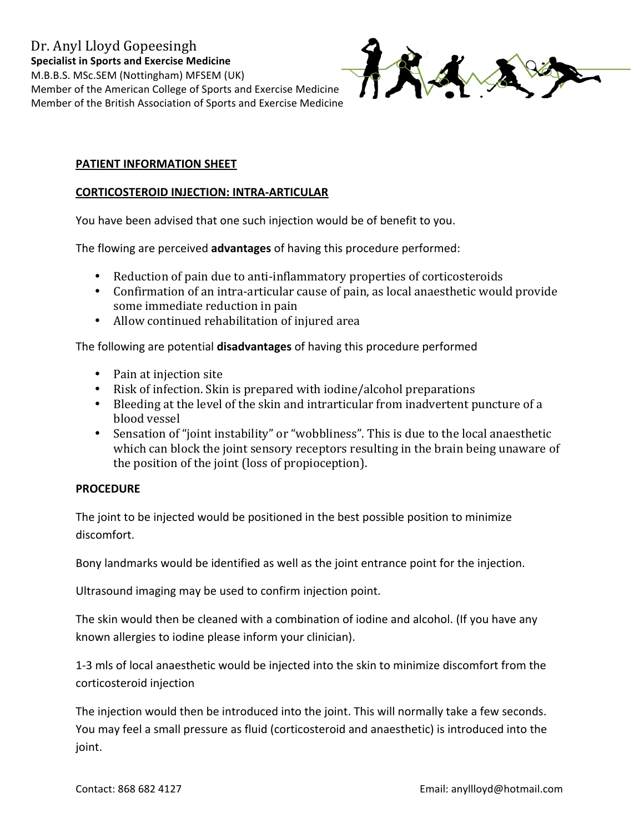

## PATIENT INFORMATION SHEET

## **CORTICOSTEROID INJECTION: INTRA-ARTICULAR**

You have been advised that one such injection would be of benefit to you.

The flowing are perceived advantages of having this procedure performed:

- Reduction of pain due to anti-inflammatory properties of corticosteroids
- Confirmation of an intra-articular cause of pain, as local anaesthetic would provide some immediate reduction in pain
- Allow continued rehabilitation of injured area

The following are potential disadvantages of having this procedure performed

- Pain at injection site
- Risk of infection. Skin is prepared with iodine/alcohol preparations
- Bleeding at the level of the skin and intrarticular from inadvertent puncture of a blood vessel
- Sensation of "joint instability" or "wobbliness". This is due to the local anaesthetic which can block the joint sensory receptors resulting in the brain being unaware of the position of the joint (loss of propioception).

## **PROCEDURE**

The joint to be injected would be positioned in the best possible position to minimize discomfort.

Bony landmarks would be identified as well as the joint entrance point for the injection.

Ultrasound imaging may be used to confirm injection point.

The skin would then be cleaned with a combination of iodine and alcohol. (If you have any known allergies to iodine please inform your clinician).

1-3 mls of local anaesthetic would be injected into the skin to minimize discomfort from the corticosteroid injection

The injection would then be introduced into the joint. This will normally take a few seconds. You may feel a small pressure as fluid (corticosteroid and anaesthetic) is introduced into the joint.